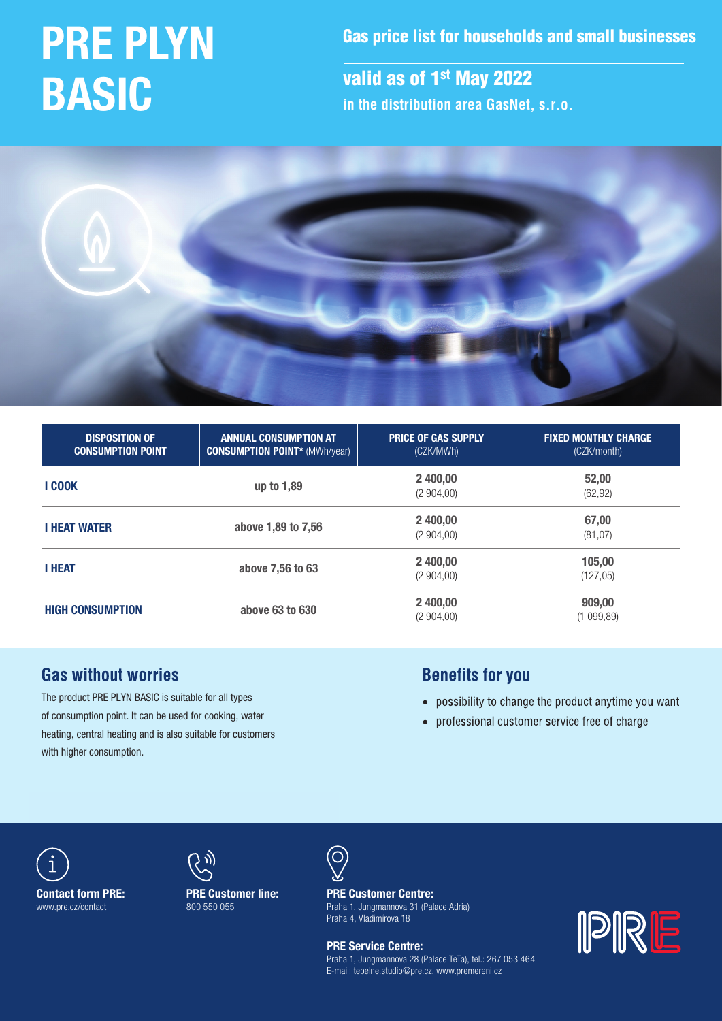# PRE PLYN BASIC

Gas price list for households and small businesses

valid as of 1<sup>st</sup> May 2022 **in the distribution area GasNet, s.r.o.**



| <b>DISPOSITION OF</b><br><b>CONSUMPTION POINT</b> | <b>ANNUAL CONSUMPTION AT</b><br><b>CONSUMPTION POINT* (MWh/year)</b> | <b>PRICE OF GAS SUPPLY</b><br>(CZK/MWh) | <b>FIXED MONTHLY CHARGE</b><br>(CZK/month) |  |
|---------------------------------------------------|----------------------------------------------------------------------|-----------------------------------------|--------------------------------------------|--|
| <b>I COOK</b>                                     | up to 1,89                                                           | 2 400,00<br>(2904,00)                   | 52,00<br>(62, 92)                          |  |
| <b>I HEAT WATER</b>                               | above 1,89 to 7,56                                                   | 2 400,00<br>(2904,00)                   | 67,00<br>(81, 07)                          |  |
| <b>I HEAT</b>                                     | above 7,56 to 63                                                     | 2 400,00<br>(2904,00)                   | 105,00<br>(127,05)                         |  |
| <b>HIGH CONSUMPTION</b>                           | above 63 to 630                                                      | 2 400,00<br>(2904,00)                   | 909,00<br>(1099, 89)                       |  |

# **Gas without worries**

The product PRE PLYN BASIC is suitable for all types of consumption point. It can be used for cooking, water heating, central heating and is also suitable for customers with higher consumption.

# **Benefits for you**

- possibility to change the product anytime you want
- professional customer service free of charge





PRE Customer line: 800 550 055



Praha 4, Vladimírova 18  $\frac{1}{2}$  and  $\frac{1}{2}$  and  $\frac{1}{2}$  and  $\frac{1}{2}$  and  $\frac{1}{2}$  and  $\frac{1}{2}$  and  $\frac{1}{2}$  and  $\frac{1}{2}$  and  $\frac{1}{2}$  and  $\frac{1}{2}$  and  $\frac{1}{2}$  and  $\frac{1}{2}$  and  $\frac{1}{2}$  and  $\frac{1}{2}$  and  $\frac{1}{2}$  and  $\frac{1}{2}$  a PRE Customer Centre: Praha 1, Jungmannova 31 (Palace Adria)

**Tel.: 800 500 550 500 550 500 550 500 550 500 500 500 500 500 500 500 500 500 500 500 500 500 500 500 500 500 500 500 500 500 500 500 500 500 500 500 500 500 500 500 500 500 500 500 500 500 500 500 500 500 500 500 500 500** 0QFOJOHIPVST: .Po–'s Fialla I, Jul<br>Po–'s Praha 4, Vladimírova 18 Praha 1, Jungmannova 28 (Palace TeTa), tel.: 267 053 464 E-mail: tepelne.studio@pre.cz, www.premereni.cz